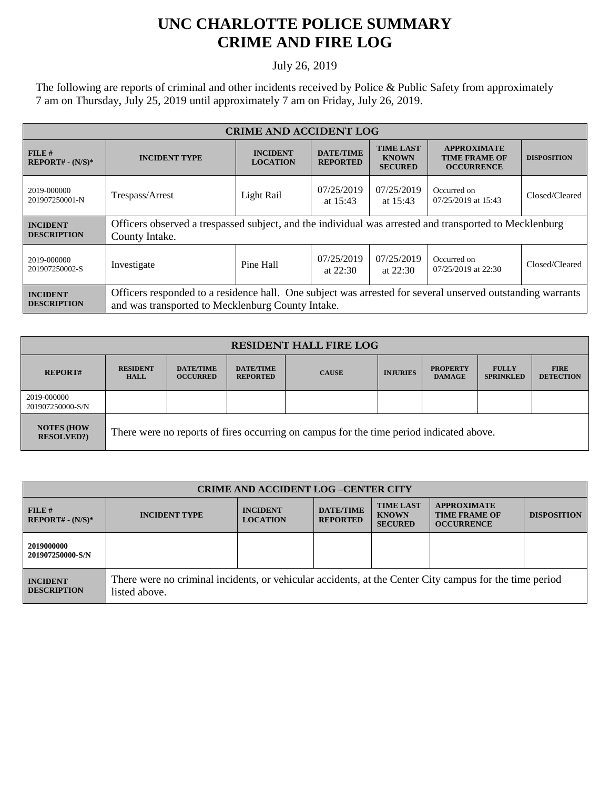## **UNC CHARLOTTE POLICE SUMMARY CRIME AND FIRE LOG**

## July 26, 2019

The following are reports of criminal and other incidents received by Police & Public Safety from approximately 7 am on Thursday, July 25, 2019 until approximately 7 am on Friday, July 26, 2019.

| <b>CRIME AND ACCIDENT LOG</b>         |                                                                                                                                                                 |                                    |                                     |                                                    |                                                                 |                    |
|---------------------------------------|-----------------------------------------------------------------------------------------------------------------------------------------------------------------|------------------------------------|-------------------------------------|----------------------------------------------------|-----------------------------------------------------------------|--------------------|
| FILE H<br>$REPORT# - (N/S)*$          | <b>INCIDENT TYPE</b>                                                                                                                                            | <b>INCIDENT</b><br><b>LOCATION</b> | <b>DATE/TIME</b><br><b>REPORTED</b> | <b>TIME LAST</b><br><b>KNOWN</b><br><b>SECURED</b> | <b>APPROXIMATE</b><br><b>TIME FRAME OF</b><br><b>OCCURRENCE</b> | <b>DISPOSITION</b> |
| 2019-000000<br>201907250001-N         | Trespass/Arrest                                                                                                                                                 | Light Rail                         | 07/25/2019<br>at $15:43$            | 07/25/2019<br>at $15:43$                           | Occurred on<br>07/25/2019 at 15:43                              | Closed/Cleared     |
| <b>INCIDENT</b><br><b>DESCRIPTION</b> | Officers observed a trespassed subject, and the individual was arrested and transported to Mecklenburg<br>County Intake.                                        |                                    |                                     |                                                    |                                                                 |                    |
| 2019-000000<br>201907250002-S         | Investigate                                                                                                                                                     | Pine Hall                          | 07/25/2019<br>at $22:30$            | 07/25/2019<br>at $22:30$                           | Occurred on<br>07/25/2019 at 22:30                              | Closed/Cleared     |
| <b>INCIDENT</b><br><b>DESCRIPTION</b> | Officers responded to a residence hall. One subject was arrested for several unserved outstanding warrants<br>and was transported to Mecklenburg County Intake. |                                    |                                     |                                                    |                                                                 |                    |

| <b>RESIDENT HALL FIRE LOG</b>         |                                                                                         |                                     |                                     |              |                 |                                  |                                  |                                 |
|---------------------------------------|-----------------------------------------------------------------------------------------|-------------------------------------|-------------------------------------|--------------|-----------------|----------------------------------|----------------------------------|---------------------------------|
| <b>REPORT#</b>                        | <b>RESIDENT</b><br><b>HALL</b>                                                          | <b>DATE/TIME</b><br><b>OCCURRED</b> | <b>DATE/TIME</b><br><b>REPORTED</b> | <b>CAUSE</b> | <b>INJURIES</b> | <b>PROPERTY</b><br><b>DAMAGE</b> | <b>FULLY</b><br><b>SPRINKLED</b> | <b>FIRE</b><br><b>DETECTION</b> |
| 2019-000000<br>201907250000-S/N       |                                                                                         |                                     |                                     |              |                 |                                  |                                  |                                 |
| <b>NOTES (HOW</b><br><b>RESOLVED?</b> | There were no reports of fires occurring on campus for the time period indicated above. |                                     |                                     |              |                 |                                  |                                  |                                 |

| <b>CRIME AND ACCIDENT LOG-CENTER CITY</b> |                                                                                                                          |                                    |                                     |                                                    |                                                                 |                    |
|-------------------------------------------|--------------------------------------------------------------------------------------------------------------------------|------------------------------------|-------------------------------------|----------------------------------------------------|-----------------------------------------------------------------|--------------------|
| FILE#<br>$REPORT# - (N/S)*$               | <b>INCIDENT TYPE</b>                                                                                                     | <b>INCIDENT</b><br><b>LOCATION</b> | <b>DATE/TIME</b><br><b>REPORTED</b> | <b>TIME LAST</b><br><b>KNOWN</b><br><b>SECURED</b> | <b>APPROXIMATE</b><br><b>TIME FRAME OF</b><br><b>OCCURRENCE</b> | <b>DISPOSITION</b> |
| 2019000000<br>201907250000-S/N            |                                                                                                                          |                                    |                                     |                                                    |                                                                 |                    |
| <b>INCIDENT</b><br><b>DESCRIPTION</b>     | There were no criminal incidents, or vehicular accidents, at the Center City campus for the time period<br>listed above. |                                    |                                     |                                                    |                                                                 |                    |